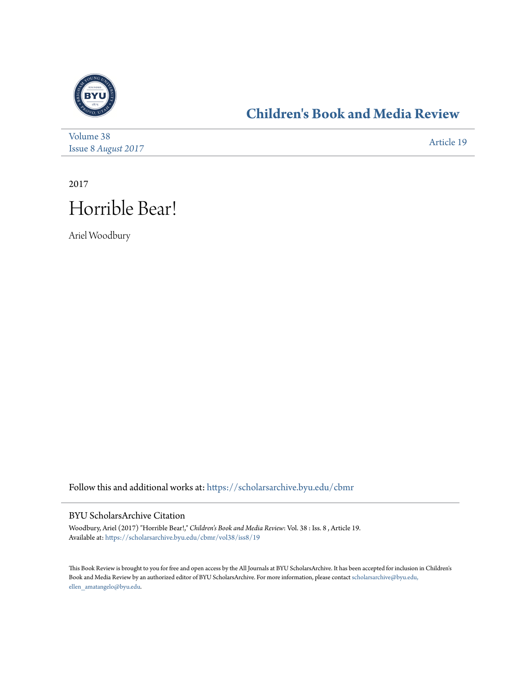

## **[Children's Book and Media Review](https://scholarsarchive.byu.edu/cbmr?utm_source=scholarsarchive.byu.edu%2Fcbmr%2Fvol38%2Fiss8%2F19&utm_medium=PDF&utm_campaign=PDFCoverPages)**

| Volume 38           | Article 19 |
|---------------------|------------|
| Issue 8 August 2017 |            |

2017

## Horrible Bear!

Ariel Woodbury

Follow this and additional works at: [https://scholarsarchive.byu.edu/cbmr](https://scholarsarchive.byu.edu/cbmr?utm_source=scholarsarchive.byu.edu%2Fcbmr%2Fvol38%2Fiss8%2F19&utm_medium=PDF&utm_campaign=PDFCoverPages)

## BYU ScholarsArchive Citation

Woodbury, Ariel (2017) "Horrible Bear!," *Children's Book and Media Review*: Vol. 38 : Iss. 8 , Article 19. Available at: [https://scholarsarchive.byu.edu/cbmr/vol38/iss8/19](https://scholarsarchive.byu.edu/cbmr/vol38/iss8/19?utm_source=scholarsarchive.byu.edu%2Fcbmr%2Fvol38%2Fiss8%2F19&utm_medium=PDF&utm_campaign=PDFCoverPages)

This Book Review is brought to you for free and open access by the All Journals at BYU ScholarsArchive. It has been accepted for inclusion in Children's Book and Media Review by an authorized editor of BYU ScholarsArchive. For more information, please contact [scholarsarchive@byu.edu,](mailto:scholarsarchive@byu.edu,%20ellen_amatangelo@byu.edu) [ellen\\_amatangelo@byu.edu.](mailto:scholarsarchive@byu.edu,%20ellen_amatangelo@byu.edu)